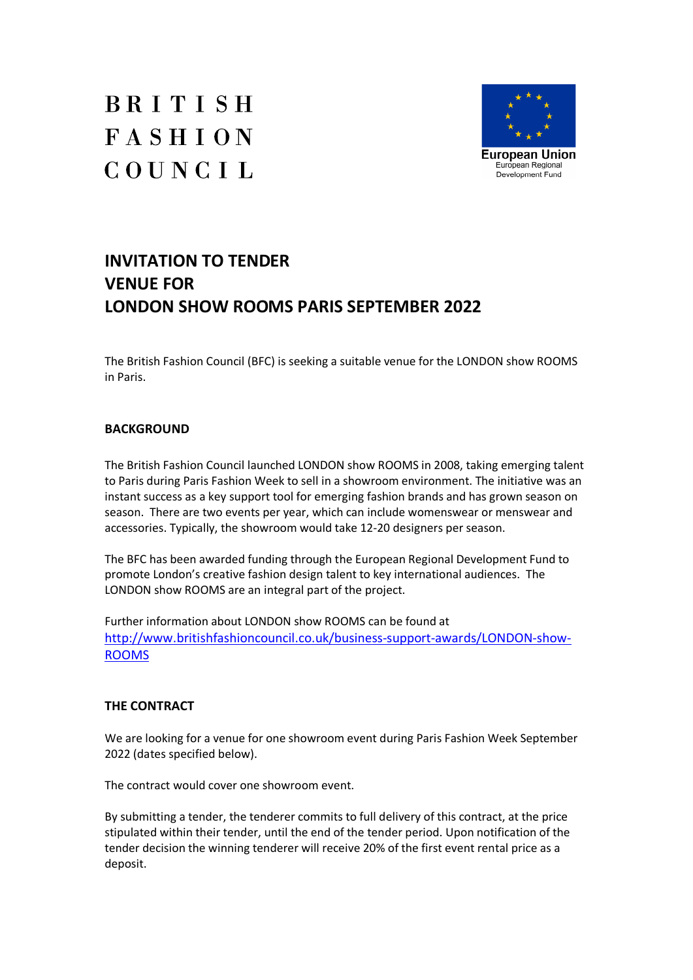



# **INVITATION TO TENDER VENUE FOR LONDON SHOW ROOMS PARIS SEPTEMBER 2022**

The British Fashion Council (BFC) is seeking a suitable venue for the LONDON show ROOMS in Paris.

# **BACKGROUND**

The British Fashion Council launched LONDON show ROOMS in 2008, taking emerging talent to Paris during Paris Fashion Week to sell in a showroom environment. The initiative was an instant success as a key support tool for emerging fashion brands and has grown season on season. There are two events per year, which can include womenswear or menswear and accessories. Typically, the showroom would take 12-20 designers per season.

The BFC has been awarded funding through the European Regional Development Fund to promote London's creative fashion design talent to key international audiences. The LONDON show ROOMS are an integral part of the project.

Further information about LONDON show ROOMS can be found at http://www.britishfashioncouncil.co.uk/business-support-awards/LONDON-show-ROOMS

# **THE CONTRACT**

We are looking for a venue for one showroom event during Paris Fashion Week September 2022 (dates specified below).

The contract would cover one showroom event.

By submitting a tender, the tenderer commits to full delivery of this contract, at the price stipulated within their tender, until the end of the tender period. Upon notification of the tender decision the winning tenderer will receive 20% of the first event rental price as a deposit.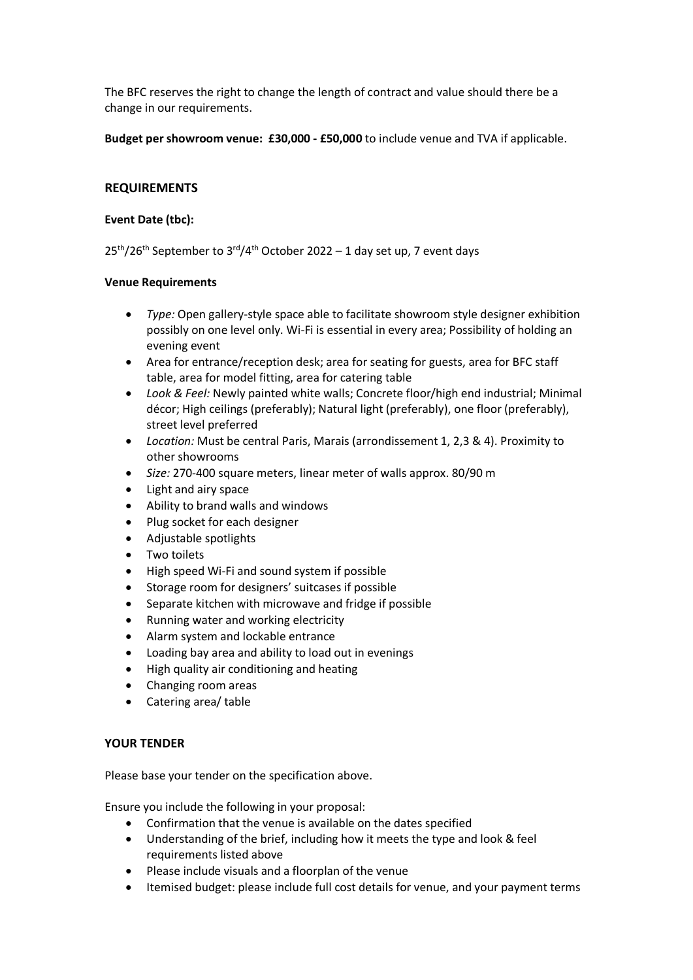The BFC reserves the right to change the length of contract and value should there be a change in our requirements.

**Budget per showroom venue: £30,000 - £50,000** to include venue and TVA if applicable.

# **REQUIREMENTS**

#### **Event Date (tbc):**

25<sup>th</sup>/26<sup>th</sup> September to 3<sup>rd</sup>/4<sup>th</sup> October 2022 – 1 day set up, 7 event days

#### **Venue Requirements**

- · *Type:* Open gallery-style space able to facilitate showroom style designer exhibition possibly on one level only. Wi-Fi is essential in every area; Possibility of holding an evening event
- · Area for entrance/reception desk; area for seating for guests, area for BFC staff table, area for model fitting, area for catering table
- · *Look & Feel:* Newly painted white walls; Concrete floor/high end industrial; Minimal décor; High ceilings (preferably); Natural light (preferably), one floor (preferably), street level preferred
- · *Location:* Must be central Paris, Marais (arrondissement 1, 2,3 & 4). Proximity to other showrooms
- · *Size:* 270-400 square meters, linear meter of walls approx. 80/90 m
- Light and airy space
- · Ability to brand walls and windows
- Plug socket for each designer
- · Adjustable spotlights
- Two toilets
- High speed Wi-Fi and sound system if possible
- Storage room for designers' suitcases if possible
- Separate kitchen with microwave and fridge if possible
- · Running water and working electricity
- · Alarm system and lockable entrance
- Loading bay area and ability to load out in evenings
- · High quality air conditioning and heating
- · Changing room areas
- Catering area/ table

# **YOUR TENDER**

Please base your tender on the specification above.

Ensure you include the following in your proposal:

- · Confirmation that the venue is available on the dates specified
- · Understanding of the brief, including how it meets the type and look & feel requirements listed above
- · Please include visuals and a floorplan of the venue
- · Itemised budget: please include full cost details for venue, and your payment terms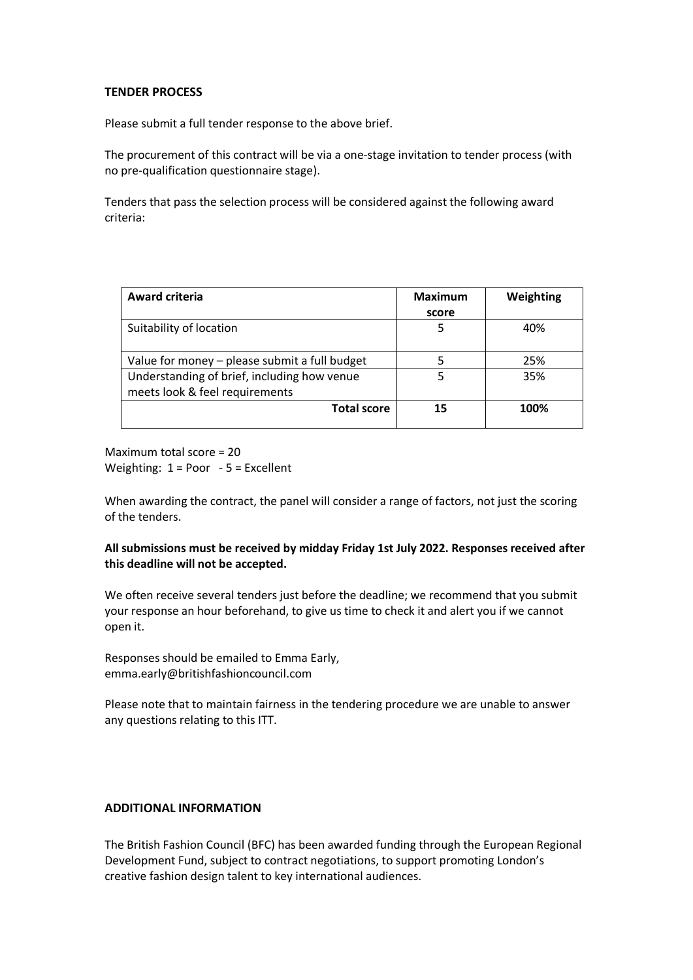#### **TENDER PROCESS**

Please submit a full tender response to the above brief.

The procurement of this contract will be via a one-stage invitation to tender process (with no pre-qualification questionnaire stage).

Tenders that pass the selection process will be considered against the following award criteria:

| <b>Award criteria</b>                         | <b>Maximum</b> | Weighting |
|-----------------------------------------------|----------------|-----------|
|                                               | score          |           |
| Suitability of location                       | ל              | 40%       |
| Value for money - please submit a full budget |                | 25%       |
| Understanding of brief, including how venue   | 5              | 35%       |
| meets look & feel requirements                |                |           |
| <b>Total score</b>                            | 15             | 100%      |

Maximum total score = 20 Weighting: 1 = Poor - 5 = Excellent

When awarding the contract, the panel will consider a range of factors, not just the scoring of the tenders.

# **All submissions must be received by midday Friday 1st July 2022. Responses received after this deadline will not be accepted.**

We often receive several tenders just before the deadline; we recommend that you submit your response an hour beforehand, to give us time to check it and alert you if we cannot open it.

Responses should be emailed to Emma Early, emma.early@britishfashioncouncil.com

Please note that to maintain fairness in the tendering procedure we are unable to answer any questions relating to this ITT.

# **ADDITIONAL INFORMATION**

The British Fashion Council (BFC) has been awarded funding through the European Regional Development Fund, subject to contract negotiations, to support promoting London's creative fashion design talent to key international audiences.